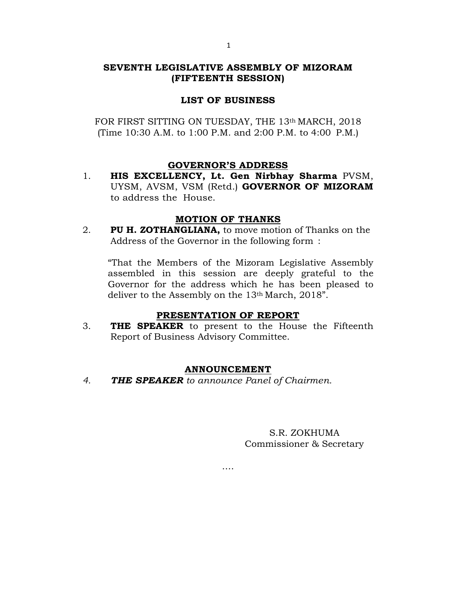# **SEVENTH LEGISLATIVE ASSEMBLY OF MIZORAM (FIFTEENTH SESSION)**

## **LIST OF BUSINESS**

FOR FIRST SITTING ON TUESDAY, THE 13th MARCH, 2018 (Time 10:30 A.M. to 1:00 P.M. and 2:00 P.M. to 4:00 P.M.)

## **GOVERNOR'S ADDRESS**

1. **HIS EXCELLENCY, Lt. Gen Nirbhay Sharma** PVSM, UYSM, AVSM, VSM (Retd.) **GOVERNOR OF MIZORAM** to address the House.

## **MOTION OF THANKS**

2. **PU H. ZOTHANGLIANA,** to move motion of Thanks on the Address of the Governor in the following form :

"That the Members of the Mizoram Legislative Assembly assembled in this session are deeply grateful to the Governor for the address which he has been pleased to deliver to the Assembly on the 13th March, 2018".

#### **PRESENTATION OF REPORT**

3. **THE SPEAKER** to present to the House the Fifteenth Report of Business Advisory Committee.

#### **ANNOUNCEMENT**

*4. THE SPEAKER to announce Panel of Chairmen.*

S.R. ZOKHUMA Commissioner & Secretary

….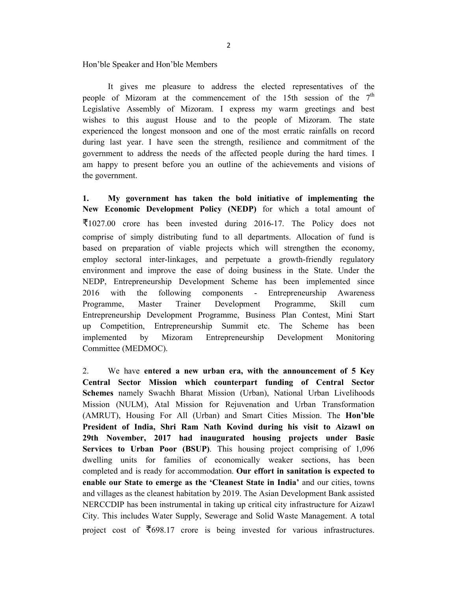Hon'ble Speaker and Hon'ble Members

It gives me pleasure to address the elected representatives of the people of Mizoram at the commencement of the 15th session of the  $7<sup>th</sup>$ Legislative Assembly of Mizoram. I express my warm greetings and best wishes to this august House and to the people of Mizoram. The state experienced the longest monsoon and one of the most erratic rainfalls on record during last year. I have seen the strength, resilience and commitment of the government to address the needs of the affected people during the hard times. I am happy to present before you an outline of the achievements and visions of the government.

**1. My government has taken the bold initiative of implementing the New Economic Development Policy (NEDP)** for which a total amount of ₹1027.00 crore has been invested during 2016-17. The Policy does not comprise of simply distributing fund to all departments. Allocation of fund is based on preparation of viable projects which will strengthen the economy, employ sectoral inter-linkages, and perpetuate a growth-friendly regulatory environment and improve the ease of doing business in the State. Under the NEDP, Entrepreneurship Development Scheme has been implemented since 2016 with the following components - Entrepreneurship Awareness Programme, Master Trainer Development Programme, Skill cum Entrepreneurship Development Programme, Business Plan Contest, Mini Start up Competition, Entrepreneurship Summit etc. The Scheme has been implemented by Mizoram Entrepreneurship Development Monitoring Committee (MEDMOC).

2. We have **entered a new urban era, with the announcement of 5 Key Central Sector Mission which counterpart funding of Central Sector Schemes** namely Swachh Bharat Mission (Urban), National Urban Livelihoods Mission (NULM), Atal Mission for Rejuvenation and Urban Transformation (AMRUT), Housing For All (Urban) and Smart Cities Mission. The **Hon'ble President of India, Shri Ram Nath Kovind during his visit to Aizawl on 29th November, 2017 had inaugurated housing projects under Basic Services to Urban Poor (BSUP)**. This housing project comprising of 1,096 dwelling units for families of economically weaker sections, has been completed and is ready for accommodation. **Our effort in sanitation is expected to enable our State to emerge as the 'Cleanest State in India'** and our cities, towns and villages as the cleanest habitation by 2019. The Asian Development Bank assisted NERCCDIP has been instrumental in taking up critical city infrastructure for Aizawl City. This includes Water Supply, Sewerage and Solid Waste Management. A total project cost of ₹698.17 crore is being invested for various infrastructures.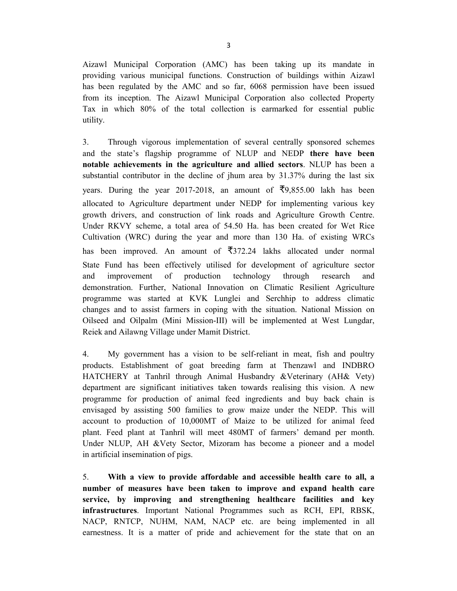Aizawl Municipal Corporation (AMC) has been taking up its mandate in providing various municipal functions. Construction of buildings within Aizawl has been regulated by the AMC and so far, 6068 permission have been issued from its inception. The Aizawl Municipal Corporation also collected Property Tax in which 80% of the total collection is earmarked for essential public utility.

3. Through vigorous implementation of several centrally sponsored schemes and the state's flagship programme of NLUP and NEDP **there have been notable achievements in the agriculture and allied sectors**. NLUP has been a substantial contributor in the decline of jhum area by 31.37% during the last six years. During the year 2017-2018, an amount of  $\overline{z}9.855.00$  lakh has been allocated to Agriculture department under NEDP for implementing various key growth drivers, and construction of link roads and Agriculture Growth Centre. Under RKVY scheme, a total area of 54.50 Ha. has been created for Wet Rice Cultivation (WRC) during the year and more than 130 Ha. of existing WRCs has been improved. An amount of  $\overline{5}372.24$  lakhs allocated under normal State Fund has been effectively utilised for development of agriculture sector and improvement of production technology through research and demonstration. Further, National Innovation on Climatic Resilient Agriculture programme was started at KVK Lunglei and Serchhip to address climatic changes and to assist farmers in coping with the situation. National Mission on Oilseed and Oilpalm (Mini Mission-III) will be implemented at West Lungdar, Reiek and Ailawng Village under Mamit District.

4. My government has a vision to be self-reliant in meat, fish and poultry products. Establishment of goat breeding farm at Thenzawl and INDBRO HATCHERY at Tanhril through Animal Husbandry &Veterinary (AH& Vety) department are significant initiatives taken towards realising this vision. A new programme for production of animal feed ingredients and buy back chain is envisaged by assisting 500 families to grow maize under the NEDP. This will account to production of 10,000MT of Maize to be utilized for animal feed plant. Feed plant at Tanhril will meet 480MT of farmers' demand per month. Under NLUP, AH &Vety Sector, Mizoram has become a pioneer and a model in artificial insemination of pigs.

5. **With a view to provide affordable and accessible health care to all, a number of measures have been taken to improve and expand health care service, by improving and strengthening healthcare facilities and key infrastructures**. Important National Programmes such as RCH, EPI, RBSK, NACP, RNTCP, NUHM, NAM, NACP etc. are being implemented in all earnestness. It is a matter of pride and achievement for the state that on an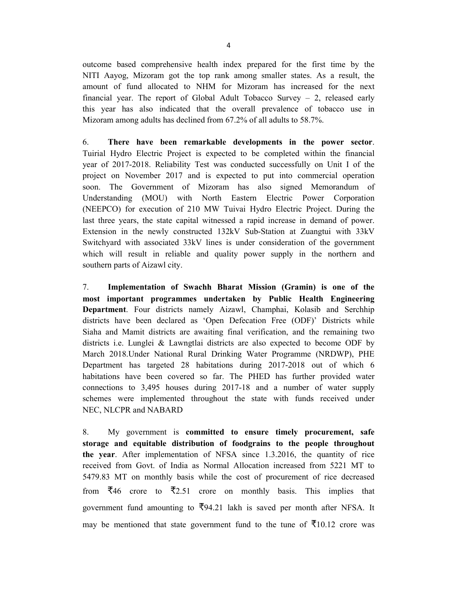outcome based comprehensive health index prepared for the first time by the NITI Aayog, Mizoram got the top rank among smaller states. As a result, the amount of fund allocated to NHM for Mizoram has increased for the next financial year. The report of Global Adult Tobacco Survey  $-$  2, released early this year has also indicated that the overall prevalence of tobacco use in Mizoram among adults has declined from 67.2% of all adults to 58.7%.

6. **There have been remarkable developments in the power sector**. Tuirial Hydro Electric Project is expected to be completed within the financial year of 2017-2018. Reliability Test was conducted successfully on Unit I of the project on November 2017 and is expected to put into commercial operation soon. The Government of Mizoram has also signed Memorandum of Understanding (MOU) with North Eastern Electric Power Corporation (NEEPCO) for execution of 210 MW Tuivai Hydro Electric Project. During the last three years, the state capital witnessed a rapid increase in demand of power. Extension in the newly constructed 132kV Sub-Station at Zuangtui with 33kV Switchyard with associated 33kV lines is under consideration of the government which will result in reliable and quality power supply in the northern and southern parts of Aizawl city.

7. **Implementation of Swachh Bharat Mission (Gramin) is one of the most important programmes undertaken by Public Health Engineering Department**. Four districts namely Aizawl, Champhai, Kolasib and Serchhip districts have been declared as 'Open Defecation Free (ODF)' Districts while Siaha and Mamit districts are awaiting final verification, and the remaining two districts i.e. Lunglei & Lawngtlai districts are also expected to become ODF by March 2018.Under National Rural Drinking Water Programme (NRDWP), PHE Department has targeted 28 habitations during 2017-2018 out of which 6 habitations have been covered so far. The PHED has further provided water connections to 3,495 houses during 2017-18 and a number of water supply schemes were implemented throughout the state with funds received under NEC, NLCPR and NABARD

8. My government is **committed to ensure timely procurement, safe storage and equitable distribution of foodgrains to the people throughout the year**. After implementation of NFSA since 1.3.2016, the quantity of rice received from Govt. of India as Normal Allocation increased from 5221 MT to 5479.83 MT on monthly basis while the cost of procurement of rice decreased from  $\overline{5}46$  crore to  $\overline{5}2.51$  crore on monthly basis. This implies that government fund amounting to  $\overline{5}94.21$  lakh is saved per month after NFSA. It may be mentioned that state government fund to the tune of  $\bar{\bar{\mathcal{F}}}10.12$  crore was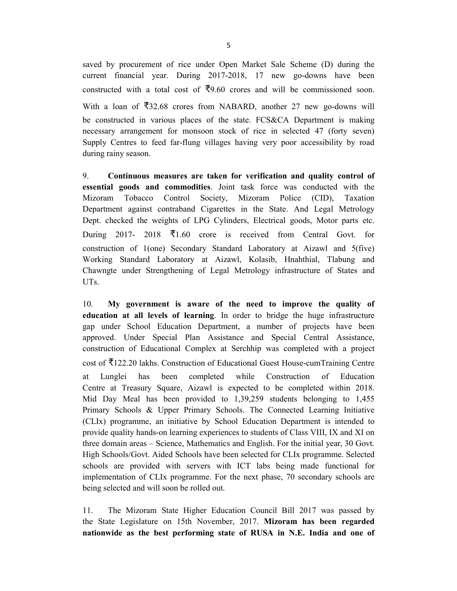saved by procurement of rice under Open Market Sale Scheme (D) during the current financial year. During 2017-2018, 17 new go-downs have been constructed with a total cost of  $\overline{59.60}$  crores and will be commissioned soon. With a loan of  $\overline{5}32.68$  crores from NABARD, another 27 new go-downs will be constructed in various places of the state. FCS&CA Department is making necessary arrangement for monsoon stock of rice in selected 47 (forty seven) Supply Centres to feed far-flung villages having very poor accessibility by road during rainy season.

9. **Continuous measures are taken for verification and quality control of essential goods and commodities**. Joint task force was conducted with the Mizoram Tobacco Control Society, Mizoram Police (CID), Taxation Department against contraband Cigarettes in the State. And Legal Metrology Dept. checked the weights of LPG Cylinders, Electrical goods, Motor parts etc. During 2017- 2018 ₹1.60 crore is received from Central Govt. for construction of 1(one) Secondary Standard Laboratory at Aizawl and 5(five) Working Standard Laboratory at Aizawl, Kolasib, Hnahthial, Tlabung and Chawngte under Strengthening of Legal Metrology infrastructure of States and UTs.

10. **My government is aware of the need to improve the quality of education at all levels of learning**. In order to bridge the huge infrastructure gap under School Education Department, a number of projects have been approved. Under Special Plan Assistance and Special Central Assistance, construction of Educational Complex at Serchhip was completed with a project cost of ₹122.20 lakhs. Construction of Educational Guest House-cumTraining Centre at Lunglei has been completed while Construction of Education Centre at Treasury Square, Aizawl is expected to be completed within 2018. Mid Day Meal has been provided to 1,39,259 students belonging to 1,455 Primary Schools & Upper Primary Schools. The Connected Learning Initiative (CLIx) programme, an initiative by School Education Department is intended to provide quality hands-on learning experiences to students of Class VIII, IX and XI on three domain areas – Science, Mathematics and English. For the initial year, 30 Govt. High Schools/Govt. Aided Schools have been selected for CLIx programme. Selected schools are provided with servers with ICT labs being made functional for implementation of CLIx programme. For the next phase, 70 secondary schools are being selected and will soon be rolled out.

11. The Mizoram State Higher Education Council Bill 2017 was passed by the State Legislature on 15th November, 2017. **Mizoram has been regarded nationwide as the best performing state of RUSA in N.E. India and one of**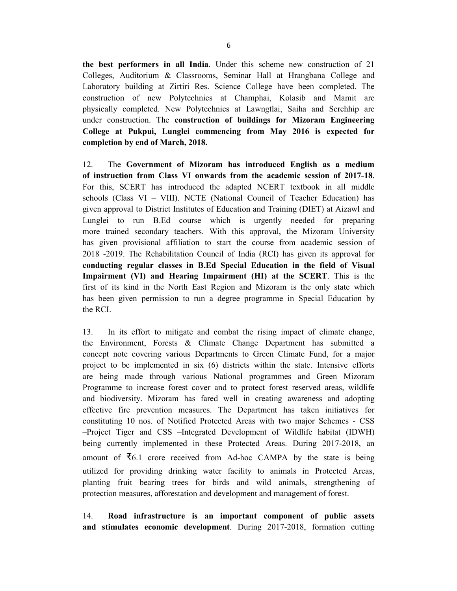**the best performers in all India**. Under this scheme new construction of 21 Colleges, Auditorium & Classrooms, Seminar Hall at Hrangbana College and Laboratory building at Zirtiri Res. Science College have been completed. The construction of new Polytechnics at Champhai, Kolasib and Mamit are physically completed. New Polytechnics at Lawngtlai, Saiha and Serchhip are under construction. The **construction of buildings for Mizoram Engineering College at Pukpui, Lunglei commencing from May 2016 is expected for completion by end of March, 2018.**

12. The **Government of Mizoram has introduced English as a medium of instruction from Class VI onwards from the academic session of 2017-18**. For this, SCERT has introduced the adapted NCERT textbook in all middle schools (Class VI – VIII). NCTE (National Council of Teacher Education) has given approval to District Institutes of Education and Training (DIET) at Aizawl and Lunglei to run B.Ed course which is urgently needed for preparing more trained secondary teachers. With this approval, the Mizoram University has given provisional affiliation to start the course from academic session of 2018 -2019. The Rehabilitation Council of India (RCI) has given its approval for **conducting regular classes in B.Ed Special Education in the field of Visual Impairment (VI) and Hearing Impairment (HI) at the SCERT**. This is the first of its kind in the North East Region and Mizoram is the only state which has been given permission to run a degree programme in Special Education by the RCI.

13. In its effort to mitigate and combat the rising impact of climate change, the Environment, Forests & Climate Change Department has submitted a concept note covering various Departments to Green Climate Fund, for a major project to be implemented in six (6) districts within the state. Intensive efforts are being made through various National programmes and Green Mizoram Programme to increase forest cover and to protect forest reserved areas, wildlife and biodiversity. Mizoram has fared well in creating awareness and adopting effective fire prevention measures. The Department has taken initiatives for constituting 10 nos. of Notified Protected Areas with two major Schemes - CSS –Project Tiger and CSS –Integrated Development of Wildlife habitat (IDWH) being currently implemented in these Protected Areas. During 2017-2018, an amount of  $\overline{56.1}$  crore received from Ad-hoc CAMPA by the state is being utilized for providing drinking water facility to animals in Protected Areas, planting fruit bearing trees for birds and wild animals, strengthening of protection measures, afforestation and development and management of forest.

14. **Road infrastructure is an important component of public assets and stimulates economic development**. During 2017-2018, formation cutting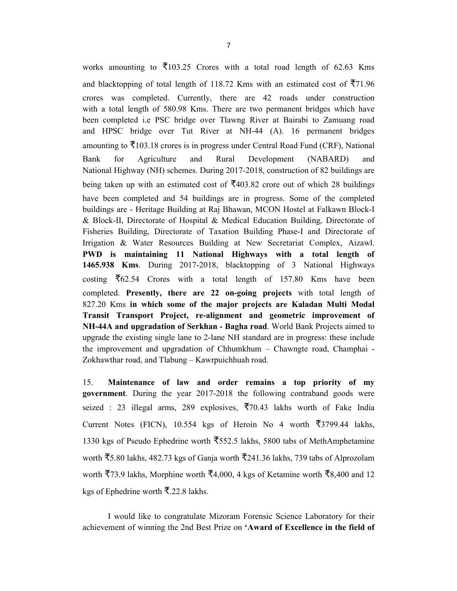works amounting to  $\overline{5}103.25$  Crores with a total road length of 62.63 Kms and blacktopping of total length of 118.72 Kms with an estimated cost of  $\overline{5}71.96$ crores was completed. Currently, there are 42 roads under construction with a total length of 580.98 Kms. There are two permanent bridges which have been completed i.e PSC bridge over Tlawng River at Bairabi to Zamuang road and HPSC bridge over Tut River at NH-44 (A). 16 permanent bridges amounting to  $\overline{5}103.18$  crores is in progress under Central Road Fund (CRF), National Bank for Agriculture and Rural Development (NABARD) and National Highway (NH) schemes. During 2017-2018, construction of 82 buildings are being taken up with an estimated cost of  $\overline{5}403.82$  crore out of which 28 buildings have been completed and 54 buildings are in progress. Some of the completed buildings are - Heritage Building at Raj Bhawan, MCON Hostel at Falkawn Block-I & Block-II, Directorate of Hospital & Medical Education Building, Directorate of Fisheries Building, Directorate of Taxation Building Phase-I and Directorate of Irrigation & Water Resources Building at New Secretariat Complex, Aizawl. **PWD is maintaining 11 National Highways with a total length of 1465.938 Kms**. During 2017-2018, blacktopping of 3 National Highways costing  $\overline{5}62.54$  Crores with a total length of 157.80 Kms have been completed. **Presently, there are 22 on-going projects** with total length of 827.20 Kms **in which some of the major projects are Kaladan Multi Modal Transit Transport Project, re-alignment and geometric improvement of NH-44A and upgradation of Serkhan - Bagha road**. World Bank Projects aimed to upgrade the existing single lane to 2-lane NH standard are in progress: these include the improvement and upgradation of Chhumkhum – Chawngte road, Champhai - Zokhawthar road, and Tlabung – Kawrpuichhuah road.

15. **Maintenance of law and order remains a top priority of my government**. During the year 2017-2018 the following contraband goods were seized : 23 illegal arms, 289 explosives,  $\overline{5}$ 70.43 lakhs worth of Fake India Current Notes (FICN), 10.554 kgs of Heroin No 4 worth  $\overline{5}3799.44$  lakhs, 1330 kgs of Pseudo Ephedrine worth ₹552.5 lakhs, 5800 tabs of MethAmphetamine worth ₹5.80 lakhs, 482.73 kgs of Ganja worth ₹241.36 lakhs, 739 tabs of Alprozolam worth ₹73.9 lakhs, Morphine worth ₹4,000, 4 kgs of Ketamine worth ₹8,400 and 12 kgs of Ephedrine worth ₹.22.8 lakhs.

I would like to congratulate Mizoram Forensic Science Laboratory for their achievement of winning the 2nd Best Prize on **'Award of Excellence in the field of**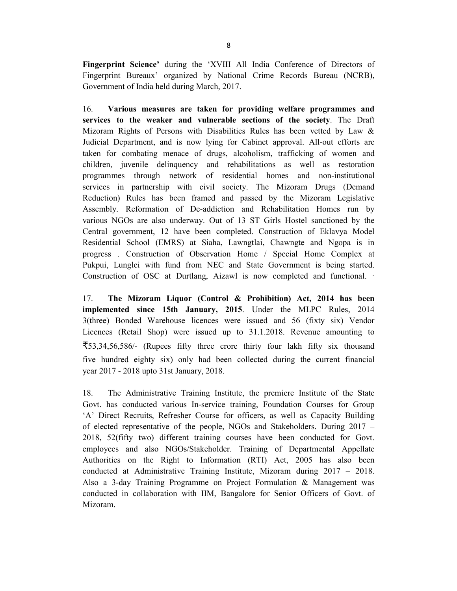**Fingerprint Science'** during the 'XVIII All India Conference of Directors of Fingerprint Bureaux' organized by National Crime Records Bureau (NCRB), Government of India held during March, 2017.

16. **Various measures are taken for providing welfare programmes and services to the weaker and vulnerable sections of the society**. The Draft Mizoram Rights of Persons with Disabilities Rules has been vetted by Law & Judicial Department, and is now lying for Cabinet approval. All-out efforts are taken for combating menace of drugs, alcoholism, trafficking of women and children, juvenile delinquency and rehabilitations as well as restoration programmes through network of residential homes and non-institutional services in partnership with civil society. The Mizoram Drugs (Demand Reduction) Rules has been framed and passed by the Mizoram Legislative Assembly. Reformation of De-addiction and Rehabilitation Homes run by various NGOs are also underway. Out of 13 ST Girls Hostel sanctioned by the Central government, 12 have been completed. Construction of Eklavya Model Residential School (EMRS) at Siaha, Lawngtlai, Chawngte and Ngopa is in progress . Construction of Observation Home / Special Home Complex at Pukpui, Lunglei with fund from NEC and State Government is being started. Construction of OSC at Durtlang, Aizawl is now completed and functional. ·

17. **The Mizoram Liquor (Control & Prohibition) Act, 2014 has been implemented since 15th January, 2015**. Under the MLPC Rules, 2014 3(three) Bonded Warehouse licences were issued and 56 (fixty six) Vendor Licences (Retail Shop) were issued up to 31.1.2018. Revenue amounting to ₹53,34,56,586/- (Rupees fifty three crore thirty four lakh fifty six thousand five hundred eighty six) only had been collected during the current financial year 2017 - 2018 upto 31st January, 2018.

18. The Administrative Training Institute, the premiere Institute of the State Govt. has conducted various In-service training, Foundation Courses for Group 'A' Direct Recruits, Refresher Course for officers, as well as Capacity Building of elected representative of the people, NGOs and Stakeholders. During 2017 – 2018, 52(fifty two) different training courses have been conducted for Govt. employees and also NGOs/Stakeholder. Training of Departmental Appellate Authorities on the Right to Information (RTI) Act, 2005 has also been conducted at Administrative Training Institute, Mizoram during 2017 – 2018. Also a 3-day Training Programme on Project Formulation & Management was conducted in collaboration with IIM, Bangalore for Senior Officers of Govt. of Mizoram.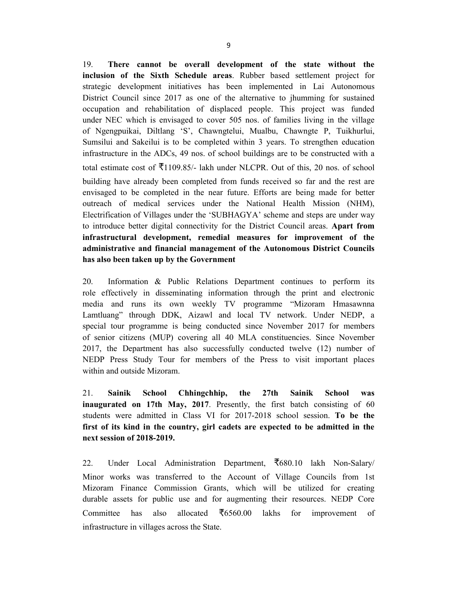19. **There cannot be overall development of the state without the inclusion of the Sixth Schedule areas**. Rubber based settlement project for strategic development initiatives has been implemented in Lai Autonomous District Council since 2017 as one of the alternative to jhumming for sustained occupation and rehabilitation of displaced people. This project was funded under NEC which is envisaged to cover 505 nos. of families living in the village of Ngengpuikai, Diltlang 'S', Chawngtelui, Mualbu, Chawngte P, Tuikhurlui, Sumsilui and Sakeilui is to be completed within 3 years. To strengthen education infrastructure in the ADCs, 49 nos. of school buildings are to be constructed with a total estimate cost of ₹1109.85/- lakh under NLCPR. Out of this, 20 nos. of school building have already been completed from funds received so far and the rest are envisaged to be completed in the near future. Efforts are being made for better outreach of medical services under the National Health Mission (NHM), Electrification of Villages under the 'SUBHAGYA' scheme and steps are under way to introduce better digital connectivity for the District Council areas. **Apart from infrastructural development, remedial measures for improvement of the administrative and financial management of the Autonomous District Councils has also been taken up by the Government**

20. Information & Public Relations Department continues to perform its role effectively in disseminating information through the print and electronic media and runs its own weekly TV programme "Mizoram Hmasawnna Lamtluang" through DDK, Aizawl and local TV network. Under NEDP, a special tour programme is being conducted since November 2017 for members of senior citizens (MUP) covering all 40 MLA constituencies. Since November 2017, the Department has also successfully conducted twelve (12) number of NEDP Press Study Tour for members of the Press to visit important places within and outside Mizoram.

21. **Sainik School Chhingchhip, the 27th Sainik School was inaugurated on 17th May, 2017**. Presently, the first batch consisting of 60 students were admitted in Class VI for 2017-2018 school session. **To be the first of its kind in the country, girl cadets are expected to be admitted in the next session of 2018-2019.**

22. Under Local Administration Department, ₹680.10 lakh Non-Salary/ Minor works was transferred to the Account of Village Councils from 1st Mizoram Finance Commission Grants, which will be utilized for creating durable assets for public use and for augmenting their resources. NEDP Core Committee has also allocated ₹6560.00 lakhs for improvement of infrastructure in villages across the State.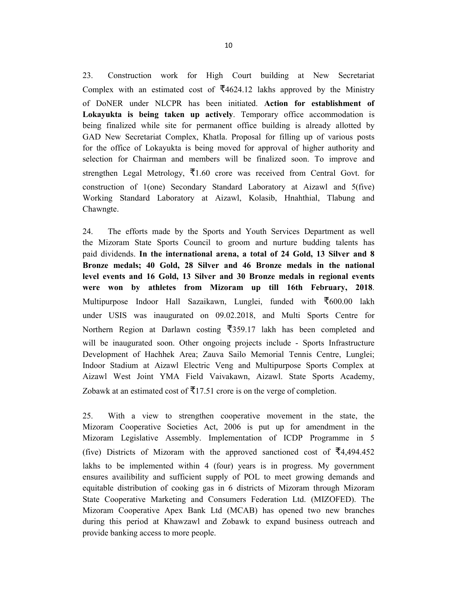23. Construction work for High Court building at New Secretariat Complex with an estimated cost of  $\overline{5}4624.12$  lakhs approved by the Ministry of DoNER under NLCPR has been initiated. **Action for establishment of Lokayukta is being taken up actively**. Temporary office accommodation is being finalized while site for permanent office building is already allotted by GAD New Secretariat Complex, Khatla. Proposal for filling up of various posts for the office of Lokayukta is being moved for approval of higher authority and selection for Chairman and members will be finalized soon. To improve and strengthen Legal Metrology,  $\overline{5}1.60$  crore was received from Central Govt. for construction of 1(one) Secondary Standard Laboratory at Aizawl and 5(five) Working Standard Laboratory at Aizawl, Kolasib, Hnahthial, Tlabung and Chawngte.

24. The efforts made by the Sports and Youth Services Department as well the Mizoram State Sports Council to groom and nurture budding talents has paid dividends. **In the international arena, a total of 24 Gold, 13 Silver and 8 Bronze medals; 40 Gold, 28 Silver and 46 Bronze medals in the national level events and 16 Gold, 13 Silver and 30 Bronze medals in regional events were won by athletes from Mizoram up till 16th February, 2018**. Multipurpose Indoor Hall Sazaikawn, Lunglei, funded with ₹600.00 lakh under USIS was inaugurated on 09.02.2018, and Multi Sports Centre for Northern Region at Darlawn costing ₹359.17 lakh has been completed and will be inaugurated soon. Other ongoing projects include - Sports Infrastructure Development of Hachhek Area; Zauva Sailo Memorial Tennis Centre, Lunglei; Indoor Stadium at Aizawl Electric Veng and Multipurpose Sports Complex at Aizawl West Joint YMA Field Vaivakawn, Aizawl. State Sports Academy, Zobawk at an estimated cost of  $\bar{x}$ 17.51 crore is on the verge of completion.

25. With a view to strengthen cooperative movement in the state, the Mizoram Cooperative Societies Act, 2006 is put up for amendment in the Mizoram Legislative Assembly. Implementation of ICDP Programme in 5 (five) Districts of Mizoram with the approved sanctioned cost of  $\overline{5}4,494.452$ lakhs to be implemented within 4 (four) years is in progress. My government ensures availibility and sufficient supply of POL to meet growing demands and equitable distribution of cooking gas in 6 districts of Mizoram through Mizoram State Cooperative Marketing and Consumers Federation Ltd. (MIZOFED). The Mizoram Cooperative Apex Bank Ltd (MCAB) has opened two new branches during this period at Khawzawl and Zobawk to expand business outreach and provide banking access to more people.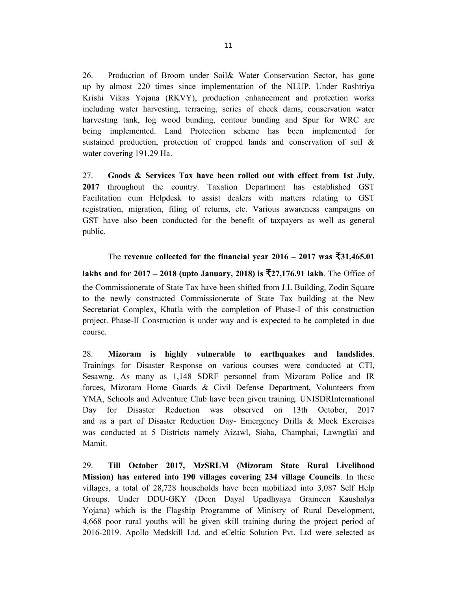26. Production of Broom under Soil& Water Conservation Sector, has gone up by almost 220 times since implementation of the NLUP. Under Rashtriya Krishi Vikas Yojana (RKVY), production enhancement and protection works including water harvesting, terracing, series of check dams, conservation water harvesting tank, log wood bunding, contour bunding and Spur for WRC are being implemented. Land Protection scheme has been implemented for sustained production, protection of cropped lands and conservation of soil & water covering 191.29 Ha.

27. **Goods & Services Tax have been rolled out with effect from 1st July, 2017** throughout the country. Taxation Department has established GST Facilitation cum Helpdesk to assist dealers with matters relating to GST registration, migration, filing of returns, etc. Various awareness campaigns on GST have also been conducted for the benefit of taxpayers as well as general public.

The **revenue collected for the financial year**  $2016 - 2017$  **was**  $\overline{5}31,465.01$ 

**lakhs and for 2017 – 2018 (upto January, 2018) is** ₹**27,176.91 lakh**. The Office of the Commissionerate of State Tax have been shifted from J.L Building, Zodin Square to the newly constructed Commissionerate of State Tax building at the New Secretariat Complex, Khatla with the completion of Phase-I of this construction project. Phase-II Construction is under way and is expected to be completed in due course.

28. **Mizoram is highly vulnerable to earthquakes and landslides**. Trainings for Disaster Response on various courses were conducted at CTI, Sesawng. As many as 1,148 SDRF personnel from Mizoram Police and IR forces, Mizoram Home Guards & Civil Defense Department, Volunteers from YMA, Schools and Adventure Club have been given training. UNISDRInternational Day for Disaster Reduction was observed on 13th October, 2017 and as a part of Disaster Reduction Day- Emergency Drills & Mock Exercises was conducted at 5 Districts namely Aizawl, Siaha, Champhai, Lawngtlai and Mamit.

29. **Till October 2017, MzSRLM (Mizoram State Rural Livelihood Mission) has entered into 190 villages covering 234 village Councils**. In these villages, a total of 28,728 households have been mobilized into 3,087 Self Help Groups. Under DDU-GKY (Deen Dayal Upadhyaya Grameen Kaushalya Yojana) which is the Flagship Programme of Ministry of Rural Development, 4,668 poor rural youths will be given skill training during the project period of 2016-2019. Apollo Medskill Ltd. and eCeltic Solution Pvt. Ltd were selected as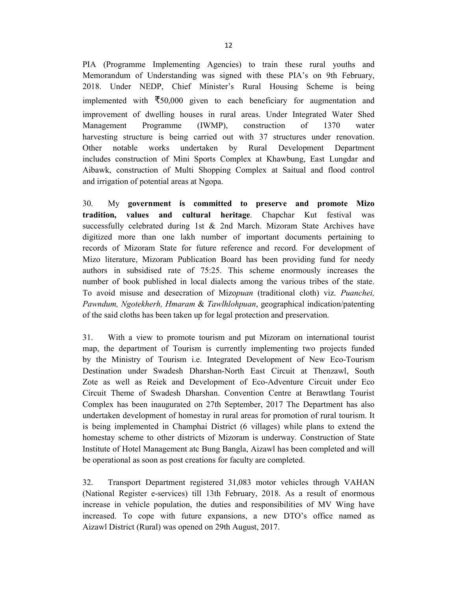PIA (Programme Implementing Agencies) to train these rural youths and Memorandum of Understanding was signed with these PIA's on 9th February, 2018. Under NEDP, Chief Minister's Rural Housing Scheme is being implemented with ₹50,000 given to each beneficiary for augmentation and improvement of dwelling houses in rural areas. Under Integrated Water Shed Management Programme (IWMP), construction of 1370 water harvesting structure is being carried out with 37 structures under renovation. Other notable works undertaken by Rural Development Department includes construction of Mini Sports Complex at Khawbung, East Lungdar and Aibawk, construction of Multi Shopping Complex at Saitual and flood control and irrigation of potential areas at Ngopa.

30. My **government is committed to preserve and promote Mizo tradition, values and cultural heritage**. Chapchar Kut festival was successfully celebrated during 1st & 2nd March. Mizoram State Archives have digitized more than one lakh number of important documents pertaining to records of Mizoram State for future reference and record. For development of Mizo literature, Mizoram Publication Board has been providing fund for needy authors in subsidised rate of 75:25. This scheme enormously increases the number of book published in local dialects among the various tribes of the state. To avoid misuse and desecration of Mizo*puan* (traditional cloth) viz. *Puanchei, Pawndum, Ngotekherh, Hmaram* & *Tawlhlohpuan*, geographical indication/patenting of the said cloths has been taken up for legal protection and preservation.

31. With a view to promote tourism and put Mizoram on international tourist map, the department of Tourism is currently implementing two projects funded by the Ministry of Tourism i.e. Integrated Development of New Eco-Tourism Destination under Swadesh Dharshan-North East Circuit at Thenzawl, South Zote as well as Reiek and Development of Eco-Adventure Circuit under Eco Circuit Theme of Swadesh Dharshan. Convention Centre at Berawtlang Tourist Complex has been inaugurated on 27th September, 2017 The Department has also undertaken development of homestay in rural areas for promotion of rural tourism. It is being implemented in Champhai District (6 villages) while plans to extend the homestay scheme to other districts of Mizoram is underway. Construction of State Institute of Hotel Management atc Bung Bangla, Aizawl has been completed and will be operational as soon as post creations for faculty are completed.

32. Transport Department registered 31,083 motor vehicles through VAHAN (National Register e-services) till 13th February, 2018. As a result of enormous increase in vehicle population, the duties and responsibilities of MV Wing have increased. To cope with future expansions, a new DTO's office named as Aizawl District (Rural) was opened on 29th August, 2017.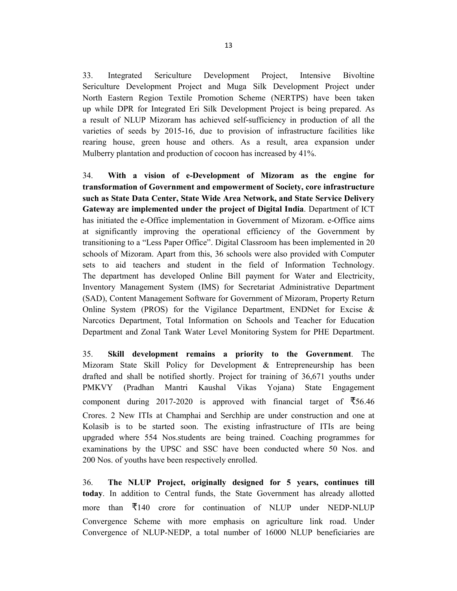33. Integrated Sericulture Development Project, Intensive Bivoltine Sericulture Development Project and Muga Silk Development Project under North Eastern Region Textile Promotion Scheme (NERTPS) have been taken up while DPR for Integrated Eri Silk Development Project is being prepared. As a result of NLUP Mizoram has achieved self-sufficiency in production of all the varieties of seeds by 2015-16, due to provision of infrastructure facilities like rearing house, green house and others. As a result, area expansion under Mulberry plantation and production of cocoon has increased by 41%.

34. **With a vision of e-Development of Mizoram as the engine for transformation of Government and empowerment of Society, core infrastructure such as State Data Center, State Wide Area Network, and State Service Delivery Gateway are implemented under the project of Digital India**. Department of ICT has initiated the e-Office implementation in Government of Mizoram. e-Office aims at significantly improving the operational efficiency of the Government by transitioning to a "Less Paper Office". Digital Classroom has been implemented in 20 schools of Mizoram. Apart from this, 36 schools were also provided with Computer sets to aid teachers and student in the field of Information Technology. The department has developed Online Bill payment for Water and Electricity, Inventory Management System (IMS) for Secretariat Administrative Department (SAD), Content Management Software for Government of Mizoram, Property Return Online System (PROS) for the Vigilance Department, ENDNet for Excise  $\&$ Narcotics Department, Total Information on Schools and Teacher for Education Department and Zonal Tank Water Level Monitoring System for PHE Department.

35. **Skill development remains a priority to the Government**. The Mizoram State Skill Policy for Development & Entrepreneurship has been drafted and shall be notified shortly. Project for training of 36,671 youths under PMKVY (Pradhan Mantri Kaushal Vikas Yojana) State Engagement component during 2017-2020 is approved with financial target of  $\overline{5}56.46$ Crores. 2 New ITIs at Champhai and Serchhip are under construction and one at Kolasib is to be started soon. The existing infrastructure of ITIs are being upgraded where 554 Nos.students are being trained. Coaching programmes for examinations by the UPSC and SSC have been conducted where 50 Nos. and 200 Nos. of youths have been respectively enrolled.

36. **The NLUP Project, originally designed for 5 years, continues till today**. In addition to Central funds, the State Government has already allotted more than ₹140 crore for continuation of NLUP under NEDP-NLUP Convergence Scheme with more emphasis on agriculture link road. Under Convergence of NLUP-NEDP, a total number of 16000 NLUP beneficiaries are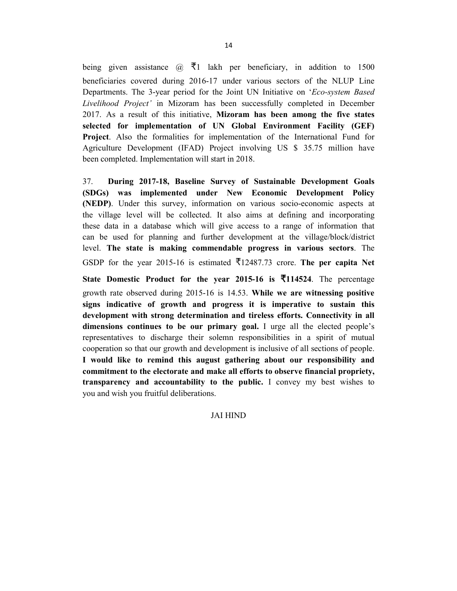being given assistance  $\overline{a}$   $\overline{\overline{z}}$  lakh per beneficiary, in addition to 1500 beneficiaries covered during 2016-17 under various sectors of the NLUP Line Departments. The 3-year period for the Joint UN Initiative on '*Eco-system Based Livelihood Project'* in Mizoram has been successfully completed in December 2017. As a result of this initiative, **Mizoram has been among the five states selected for implementation of UN Global Environment Facility (GEF) Project**. Also the formalities for implementation of the International Fund for Agriculture Development (IFAD) Project involving US \$ 35.75 million have been completed. Implementation will start in 2018.

37. **During 2017-18, Baseline Survey of Sustainable Development Goals (SDGs) was implemented under New Economic Development Policy (NEDP)**. Under this survey, information on various socio-economic aspects at the village level will be collected. It also aims at defining and incorporating these data in a database which will give access to a range of information that can be used for planning and further development at the village/block/district level. **The state is making commendable progress in various sectors**. The GSDP for the year 2015-16 is estimated ₹12487.73 crore. **The per capita Net**

**State Domestic Product for the year 2015-16 is** ₹**114524**. The percentage growth rate observed during 2015-16 is 14.53. **While we are witnessing positive signs indicative of growth and progress it is imperative to sustain this development with strong determination and tireless efforts. Connectivity in all dimensions continues to be our primary goal.** I urge all the elected people's representatives to discharge their solemn responsibilities in a spirit of mutual cooperation so that our growth and development is inclusive of all sections of people. **I would like to remind this august gathering about our responsibility and commitment to the electorate and make all efforts to observe financial propriety, transparency and accountability to the public.** I convey my best wishes to you and wish you fruitful deliberations.

JAI HIND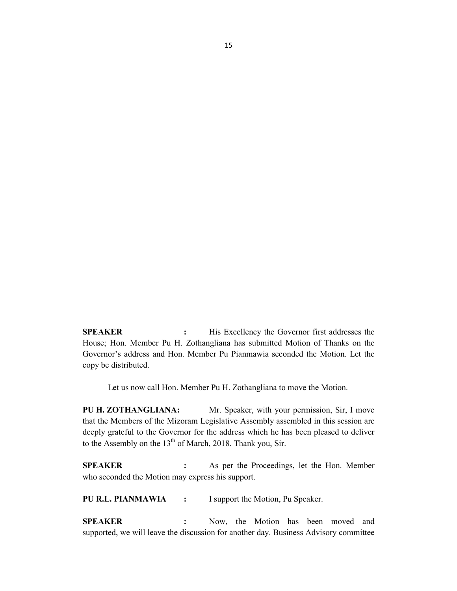**SPEAKER :** His Excellency the Governor first addresses the House; Hon. Member Pu H. Zothangliana has submitted Motion of Thanks on the Governor's address and Hon. Member Pu Pianmawia seconded the Motion. Let the copy be distributed.

Let us now call Hon. Member Pu H. Zothangliana to move the Motion.

PU H. ZOTHANGLIANA: Mr. Speaker, with your permission, Sir, I move that the Members of the Mizoram Legislative Assembly assembled in this session are deeply grateful to the Governor for the address which he has been pleased to deliver to the Assembly on the  $13<sup>th</sup>$  of March, 2018. Thank you, Sir.

**SPEAKER :** As per the Proceedings, let the Hon. Member who seconded the Motion may express his support.

**PU R.L. PIANMAWIA :** I support the Motion, Pu Speaker.

**SPEAKER :** Now, the Motion has been moved and supported, we will leave the discussion for another day. Business Advisory committee